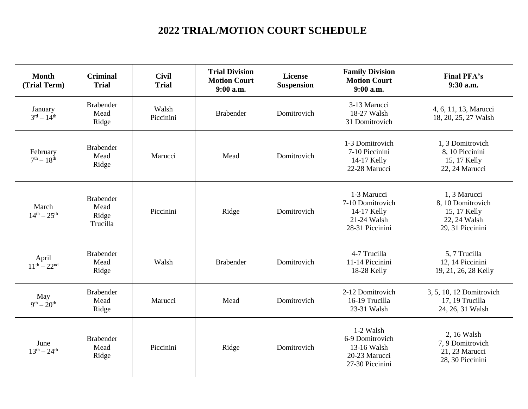## **2022 TRIAL/MOTION COURT SCHEDULE**

| <b>Month</b><br>(Trial Term)   | <b>Criminal</b><br><b>Trial</b>               | <b>Civil</b><br><b>Trial</b> | <b>Trial Division</b><br><b>Motion Court</b><br>$9:00$ a.m. | <b>License</b><br><b>Suspension</b> | <b>Family Division</b><br><b>Motion Court</b><br>$9:00$ a.m.                     | <b>Final PFA's</b><br>9:30 a.m.                                                       |
|--------------------------------|-----------------------------------------------|------------------------------|-------------------------------------------------------------|-------------------------------------|----------------------------------------------------------------------------------|---------------------------------------------------------------------------------------|
| January<br>$3^{rd} - 14^{th}$  | <b>Brabender</b><br>Mead<br>Ridge             | Walsh<br>Piccinini           | <b>Brabender</b>                                            | Domitrovich                         | 3-13 Marucci<br>18-27 Walsh<br>31 Domitrovich                                    | 4, 6, 11, 13, Marucci<br>18, 20, 25, 27 Walsh                                         |
| February<br>$7^{th} - 18^{th}$ | <b>Brabender</b><br>Mead<br>Ridge             | Marucci                      | Mead                                                        | Domitrovich                         | 1-3 Domitrovich<br>7-10 Piccinini<br>14-17 Kelly<br>22-28 Marucci                | 1, 3 Domitrovich<br>8, 10 Piccinini<br>15, 17 Kelly<br>22, 24 Marucci                 |
| March<br>$14^{th} - 25^{th}$   | <b>Brabender</b><br>Mead<br>Ridge<br>Trucilla | Piccinini                    | Ridge                                                       | Domitrovich                         | 1-3 Marucci<br>7-10 Domitrovich<br>14-17 Kelly<br>21-24 Walsh<br>28-31 Piccinini | 1, 3 Marucci<br>8, 10 Domitrovich<br>15, 17 Kelly<br>22, 24 Walsh<br>29, 31 Piccinini |
| April<br>$11^{th} - 22^{nd}$   | <b>Brabender</b><br>Mead<br>Ridge             | Walsh                        | <b>Brabender</b>                                            | Domitrovich                         | 4-7 Trucilla<br>11-14 Piccinini<br>18-28 Kelly                                   | 5, 7 Trucilla<br>12, 14 Piccinini<br>19, 21, 26, 28 Kelly                             |
| May<br>$9^{th} - 20^{th}$      | <b>Brabender</b><br>Mead<br>Ridge             | Marucci                      | Mead                                                        | Domitrovich                         | 2-12 Domitrovich<br>16-19 Trucilla<br>23-31 Walsh                                | 3, 5, 10, 12 Domitrovich<br>17, 19 Trucilla<br>24, 26, 31 Walsh                       |
| June<br>$13^{th} - 24^{th}$    | <b>Brabender</b><br>Mead<br>Ridge             | Piccinini                    | Ridge                                                       | Domitrovich                         | 1-2 Walsh<br>6-9 Domitrovich<br>13-16 Walsh<br>20-23 Marucci<br>27-30 Piccinini  | 2, 16 Walsh<br>7, 9 Domitrovich<br>21, 23 Marucci<br>28, 30 Piccinini                 |